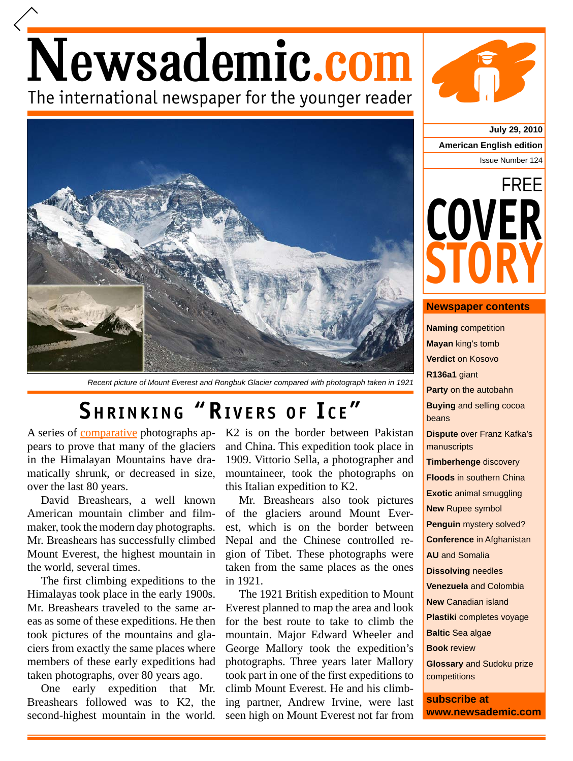## Newsademic.com The international newspaper for the younger reader



*Recent picture of Mount Everest and Rongbuk Glacier compared with photograph taken in 1921*

## **SHRINKING "RIVERS OF ICE"**

A series of comparative photographs appears to prove that many of the glaciers in the Himalayan Mountains have dramatically shrunk, or decreased in size, over the last 80 years.

David Breashears, a well known American mountain climber and filmmaker, took the modern day photographs. Mr. Breashears has successfully climbed Mount Everest, the highest mountain in the world, several times.

The first climbing expeditions to the Himalayas took place in the early 1900s. Mr. Breashears traveled to the same areas as some of these expeditions. He then took pictures of the mountains and glaciers from exactly the same places where members of these early expeditions had taken photographs, over 80 years ago.

One early expedition that Mr. Breashears followed was to K2, the second-highest mountain in the world. K2 is on the border between Pakistan and China. This expedition took place in 1909. Vittorio Sella, a photographer and mountaineer, took the photographs on this Italian expedition to K2.

Mr. Breashears also took pictures of the glaciers around Mount Everest, which is on the border between Nepal and the Chinese controlled region of Tibet. These photographs were taken from the same places as the ones in 1921.

The 1921 British expedition to Mount Everest planned to map the area and look for the best route to take to climb the mountain. Major Edward Wheeler and George Mallory took the expedition's photographs. Three years later Mallory took part in one of the first expeditions to climb Mount Everest. He and his climbing partner, Andrew Irvine, were last seen high on Mount Everest not far from

**July 29, 2010 American English edition** Issue Number 124



## **Newspaper contents**

**Naming** competition **Mayan** king's tomb **Verdict** on Kosovo **R136a1** giant **Party** on the autobahn **Buying** and selling cocoa beans **Dispute** over Franz Kafka's manuscripts **Timberhenge** discovery **Floods** in southern China **Exotic** animal smuggling **New** Rupee symbol **Penguin** mystery solved? **Conference** in Afghanistan **AU** and Somalia **Dissolving** needles **Venezuela** and Colombia **New** Canadian island **Plastiki** completes voyage **Baltic** Sea algae **Book** review **Glossary** and Sudoku prize competitions **subscribe at**

**www.newsademic.com**